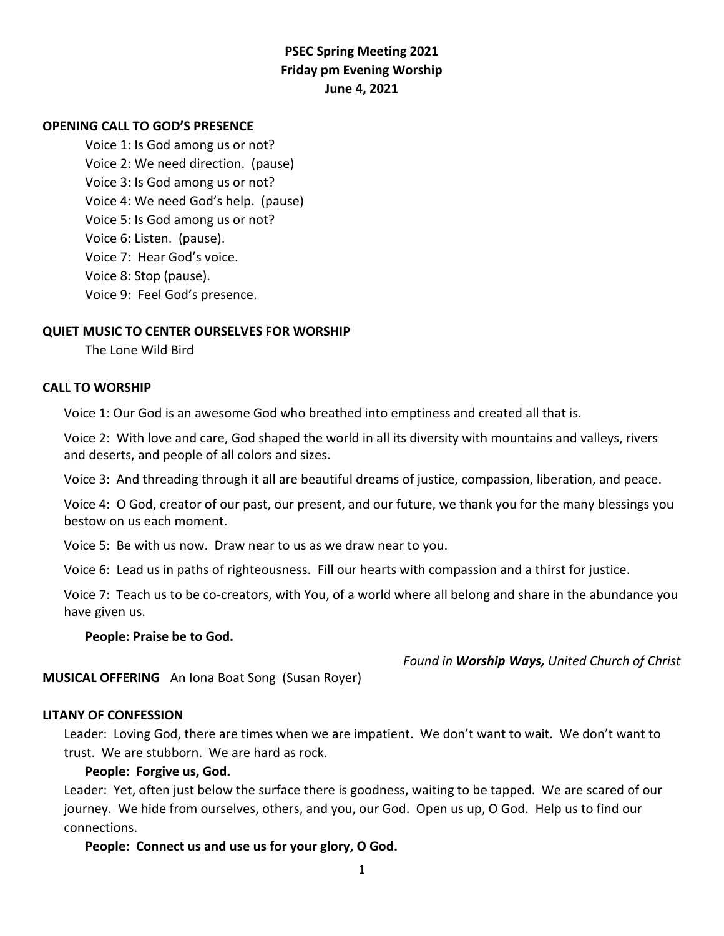# **PSEC Spring Meeting 2021 Friday pm Evening Worship June 4, 2021**

### **OPENING CALL TO GOD'S PRESENCE**

Voice 1: Is God among us or not? Voice 2: We need direction. (pause) Voice 3: Is God among us or not? Voice 4: We need God's help. (pause) Voice 5: Is God among us or not? Voice 6: Listen. (pause). Voice 7: Hear God's voice. Voice 8: Stop (pause). Voice 9: Feel God's presence.

### **QUIET MUSIC TO CENTER OURSELVES FOR WORSHIP**

The Lone Wild Bird

#### **CALL TO WORSHIP**

Voice 1: Our God is an awesome God who breathed into emptiness and created all that is.

Voice 2: With love and care, God shaped the world in all its diversity with mountains and valleys, rivers and deserts, and people of all colors and sizes.

Voice 3: And threading through it all are beautiful dreams of justice, compassion, liberation, and peace.

Voice 4: O God, creator of our past, our present, and our future, we thank you for the many blessings you bestow on us each moment.

Voice 5: Be with us now. Draw near to us as we draw near to you.

Voice 6: Lead us in paths of righteousness. Fill our hearts with compassion and a thirst for justice.

Voice 7: Teach us to be co-creators, with You, of a world where all belong and share in the abundance you have given us.

#### **People: Praise be to God.**

*Found in Worship Ways, United Church of Christ*

**MUSICAL OFFERING** An Iona Boat Song (Susan Royer)

#### **LITANY OF CONFESSION**

Leader: Loving God, there are times when we are impatient. We don't want to wait. We don't want to trust. We are stubborn. We are hard as rock.

### **People: Forgive us, God.**

Leader: Yet, often just below the surface there is goodness, waiting to be tapped. We are scared of our journey. We hide from ourselves, others, and you, our God. Open us up, O God. Help us to find our connections.

**People: Connect us and use us for your glory, O God.**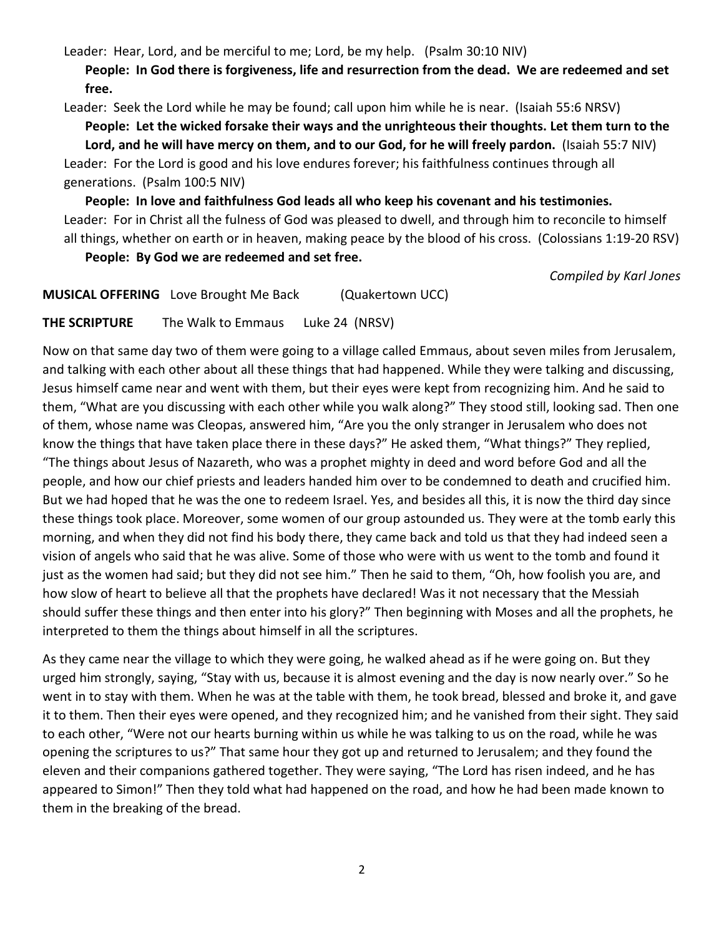Leader: Hear, Lord, and be merciful to me; Lord, be my help. (Psalm 30:10 NIV)

**People: In God there is forgiveness, life and resurrection from the dead. We are redeemed and set free.**

Leader: Seek the Lord while he may be found; call upon him while he is near. (Isaiah 55:6 NRSV)

**People: Let the wicked forsake their ways and the unrighteous their thoughts. Let them turn to the Lord, and he will have mercy on them, and to our God, for he will freely pardon.** (Isaiah 55:7 NIV) Leader: For the Lord is good and his love endures forever; his faithfulness continues through all generations. (Psalm 100:5 NIV)

**People: In love and faithfulness God leads all who keep his covenant and his testimonies.** Leader: For in Christ all the fulness of God was pleased to dwell, and through him to reconcile to himself all things, whether on earth or in heaven, making peace by the blood of his cross. (Colossians 1:19-20 RSV)

**People: By God we are redeemed and set free.**

*Compiled by Karl Jones*

**MUSICAL OFFERING** Love Brought Me Back (Quakertown UCC)

**THE SCRIPTURE** The Walk to Emmaus Luke 24 (NRSV)

Now on that same day two of them were going to a village called Emmaus, about seven miles from Jerusalem, and talking with each other about all these things that had happened. While they were talking and discussing, Jesus himself came near and went with them, but their eyes were kept from recognizing him. And he said to them, "What are you discussing with each other while you walk along?" They stood still, looking sad. Then one of them, whose name was Cleopas, answered him, "Are you the only stranger in Jerusalem who does not know the things that have taken place there in these days?" He asked them, "What things?" They replied, "The things about Jesus of Nazareth, who was a prophet mighty in deed and word before God and all the people, and how our chief priests and leaders handed him over to be condemned to death and crucified him. But we had hoped that he was the one to redeem Israel. Yes, and besides all this, it is now the third day since these things took place. Moreover, some women of our group astounded us. They were at the tomb early this morning, and when they did not find his body there, they came back and told us that they had indeed seen a vision of angels who said that he was alive. Some of those who were with us went to the tomb and found it just as the women had said; but they did not see him." Then he said to them, "Oh, how foolish you are, and how slow of heart to believe all that the prophets have declared! Was it not necessary that the Messiah should suffer these things and then enter into his glory?" Then beginning with Moses and all the prophets, he interpreted to them the things about himself in all the scriptures.

As they came near the village to which they were going, he walked ahead as if he were going on. But they urged him strongly, saying, "Stay with us, because it is almost evening and the day is now nearly over." So he went in to stay with them. When he was at the table with them, he took bread, blessed and broke it, and gave it to them. Then their eyes were opened, and they recognized him; and he vanished from their sight. They said to each other, "Were not our hearts burning within us while he was talking to us on the road, while he was opening the scriptures to us?" That same hour they got up and returned to Jerusalem; and they found the eleven and their companions gathered together. They were saying, "The Lord has risen indeed, and he has appeared to Simon!" Then they told what had happened on the road, and how he had been made known to them in the breaking of the bread.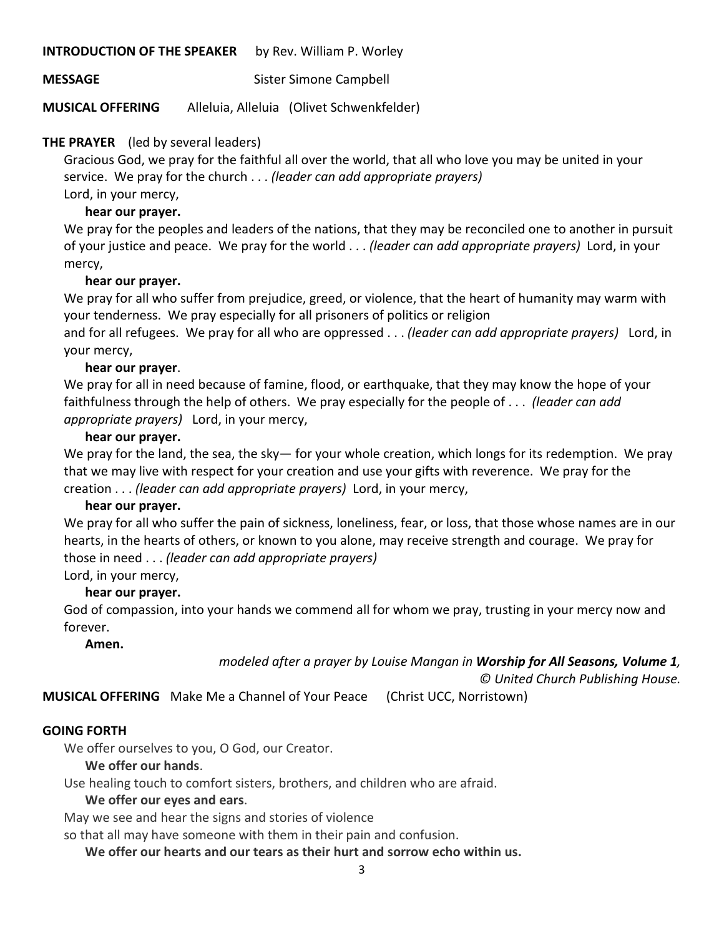### **INTRODUCTION OF THE SPEAKER** by Rev. William P. Worley

**MESSAGE** Sister Simone Campbell

**MUSICAL OFFERING** Alleluia, Alleluia (Olivet Schwenkfelder)

# **THE PRAYER** (led by several leaders)

Gracious God, we pray for the faithful all over the world, that all who love you may be united in your service. We pray for the church . . . *(leader can add appropriate prayers)* Lord, in your mercy,

# **hear our prayer.**

We pray for the peoples and leaders of the nations, that they may be reconciled one to another in pursuit of your justice and peace. We pray for the world . . . *(leader can add appropriate prayers)* Lord, in your mercy,

# **hear our prayer.**

We pray for all who suffer from prejudice, greed, or violence, that the heart of humanity may warm with your tenderness. We pray especially for all prisoners of politics or religion

and for all refugees. We pray for all who are oppressed . . . *(leader can add appropriate prayers)* Lord, in your mercy,

# **hear our prayer**.

We pray for all in need because of famine, flood, or earthquake, that they may know the hope of your faithfulness through the help of others. We pray especially for the people of . . . *(leader can add appropriate prayers)* Lord, in your mercy,

# **hear our prayer.**

We pray for the land, the sea, the sky— for your whole creation, which longs for its redemption. We pray that we may live with respect for your creation and use your gifts with reverence. We pray for the creation . . . *(leader can add appropriate prayers)* Lord, in your mercy,

# **hear our prayer.**

We pray for all who suffer the pain of sickness, loneliness, fear, or loss, that those whose names are in our hearts, in the hearts of others, or known to you alone, may receive strength and courage. We pray for those in need . . . *(leader can add appropriate prayers)*

Lord, in your mercy,

# **hear our prayer.**

God of compassion, into your hands we commend all for whom we pray, trusting in your mercy now and forever.

**Amen.**

*modeled after a prayer by Louise Mangan in Worship for All Seasons, Volume 1,* 

*© United Church Publishing House.*

**MUSICAL OFFERING** Make Me a Channel of Your Peace (Christ UCC, Norristown)

# **GOING FORTH**

We offer ourselves to you, O God, our Creator.

# **We offer our hands**.

Use healing touch to comfort sisters, brothers, and children who are afraid.

# **We offer our eyes and ears**.

May we see and hear the signs and stories of violence

so that all may have someone with them in their pain and confusion.

**We offer our hearts and our tears as their hurt and sorrow echo within us.**